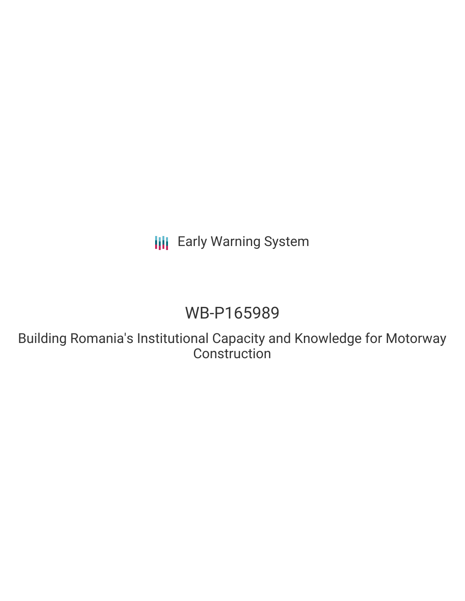**III** Early Warning System

# WB-P165989

Building Romania's Institutional Capacity and Knowledge for Motorway **Construction**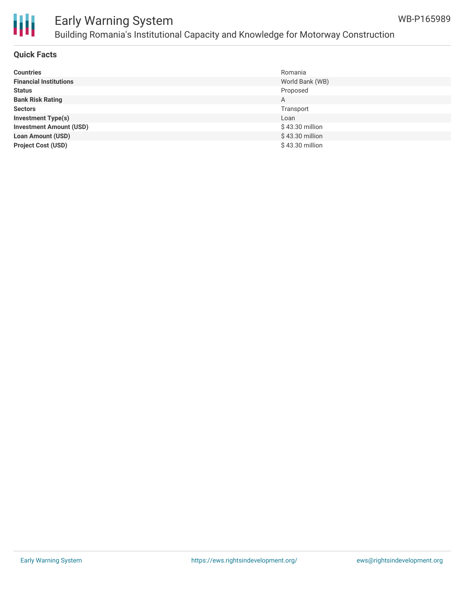

# Early Warning System Building Romania's Institutional Capacity and Knowledge for Motorway Construction

#### **Quick Facts**

| <b>Countries</b>               | Romania         |
|--------------------------------|-----------------|
| <b>Financial Institutions</b>  | World Bank (WB) |
| <b>Status</b>                  | Proposed        |
| <b>Bank Risk Rating</b>        | A               |
| <b>Sectors</b>                 | Transport       |
| <b>Investment Type(s)</b>      | Loan            |
| <b>Investment Amount (USD)</b> | \$43.30 million |
| <b>Loan Amount (USD)</b>       | \$43.30 million |
| <b>Project Cost (USD)</b>      | \$43.30 million |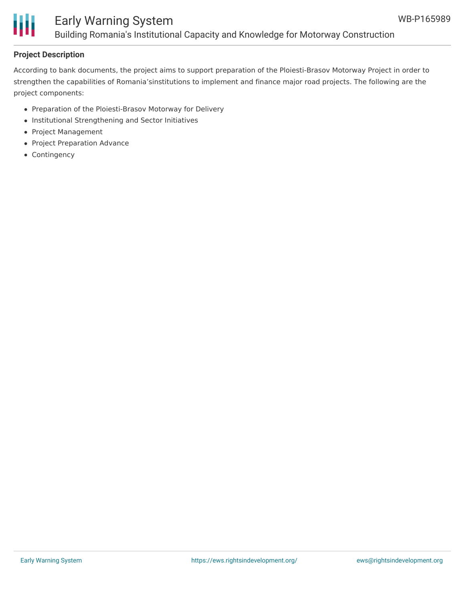# H

## Early Warning System Building Romania's Institutional Capacity and Knowledge for Motorway Construction

### **Project Description**

According to bank documents, the project aims to support preparation of the Ploiesti-Brasov Motorway Project in order to strengthen the capabilities of Romania'sinstitutions to implement and finance major road projects. The following are the project components:

- Preparation of the Ploiesti-Brasov Motorway for Delivery
- Institutional Strengthening and Sector Initiatives
- Project Management
- Project Preparation Advance
- Contingency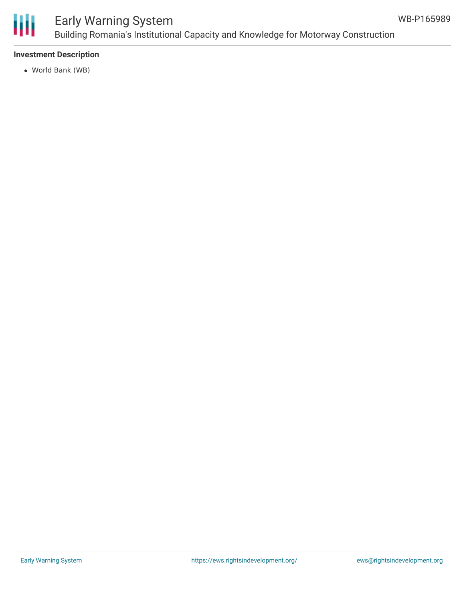

# Early Warning System Building Romania's Institutional Capacity and Knowledge for Motorway Construction

#### **Investment Description**

World Bank (WB)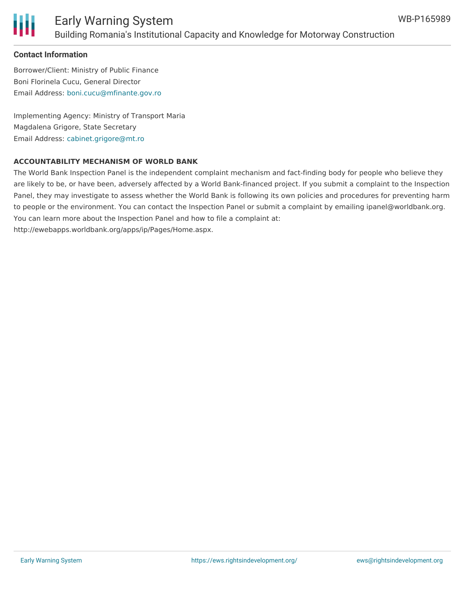

#### **Contact Information**

Borrower/Client: Ministry of Public Finance Boni Florinela Cucu, General Director Email Address: [boni.cucu@mfinante.gov.ro](mailto:boni.cucu@mfinante.gov.ro)

Implementing Agency: Ministry of Transport Maria Magdalena Grigore, State Secretary Email Address: [cabinet.grigore@mt.ro](mailto:cabinet.grigore@mt.ro)

#### **ACCOUNTABILITY MECHANISM OF WORLD BANK**

The World Bank Inspection Panel is the independent complaint mechanism and fact-finding body for people who believe they are likely to be, or have been, adversely affected by a World Bank-financed project. If you submit a complaint to the Inspection Panel, they may investigate to assess whether the World Bank is following its own policies and procedures for preventing harm to people or the environment. You can contact the Inspection Panel or submit a complaint by emailing ipanel@worldbank.org. You can learn more about the Inspection Panel and how to file a complaint at: http://ewebapps.worldbank.org/apps/ip/Pages/Home.aspx.